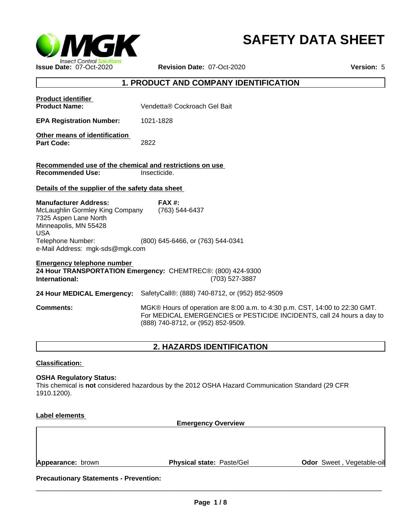

# **SAFETY DATA SHEET**

## **1. PRODUCT AND COMPANY IDENTIFICATION**

| <b>Product identifier</b><br><b>Product Name:</b>                                                                                                                                       | Vendetta® Cockroach Gel Bait                                                                                                                                                                |
|-----------------------------------------------------------------------------------------------------------------------------------------------------------------------------------------|---------------------------------------------------------------------------------------------------------------------------------------------------------------------------------------------|
|                                                                                                                                                                                         |                                                                                                                                                                                             |
| <b>EPA Registration Number:</b>                                                                                                                                                         | 1021-1828                                                                                                                                                                                   |
| Other means of identification<br><b>Part Code:</b>                                                                                                                                      | 2822                                                                                                                                                                                        |
| Recommended use of the chemical and restrictions on use                                                                                                                                 |                                                                                                                                                                                             |
| <b>Recommended Use:</b>                                                                                                                                                                 | Insecticide.                                                                                                                                                                                |
| Details of the supplier of the safety data sheet                                                                                                                                        |                                                                                                                                                                                             |
| <b>Manufacturer Address:</b><br>McLaughlin Gormley King Company<br>7325 Aspen Lane North<br>Minneapolis, MN 55428<br><b>USA</b><br>Telephone Number:<br>e-Mail Address: mgk-sds@mgk.com | $FAX#$ :<br>(763) 544-6437<br>(800) 645-6466, or (763) 544-0341                                                                                                                             |
| <b>Emergency telephone number</b><br>International:                                                                                                                                     | 24 Hour TRANSPORTATION Emergency: CHEMTREC®: (800) 424-9300<br>(703) 527-3887                                                                                                               |
| 24 Hour MEDICAL Emergency:                                                                                                                                                              | SafetyCall®: (888) 740-8712, or (952) 852-9509                                                                                                                                              |
| <b>Comments:</b>                                                                                                                                                                        | MGK® Hours of operation are 8:00 a.m. to 4:30 p.m. CST, 14:00 to 22:30 GMT.<br>For MEDICAL EMERGENCIES or PESTICIDE INCIDENTS, call 24 hours a day to<br>(888) 740-8712, or (952) 852-9509. |
|                                                                                                                                                                                         |                                                                                                                                                                                             |

## **2. HAZARDS IDENTIFICATION**

## **Classification:**

#### **OSHA Regulatory Status:**

This chemical is **not** considered hazardous by the 2012 OSHA Hazard Communication Standard (29 CFR 1910.1200).

## **Label elements**

**Emergency Overview**

**Appearance:** brown **Physical state:** Paste/Gel

**Odor** Sweet , Vegetable-oil

**Precautionary Statements - Prevention:**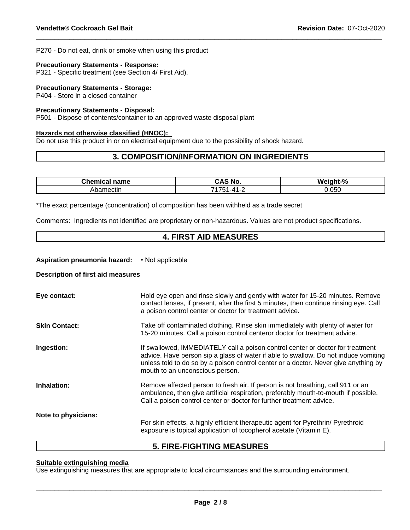P270 - Do not eat, drink or smoke when using this product

#### **Precautionary Statements - Response:**

P321 - Specific treatment (see Section 4/ First Aid).

#### **Precautionary Statements - Storage:**

P404 - Store in a closed container

## **Precautionary Statements - Disposal:**

P501 - Dispose of contents/container to an approved waste disposal plant

#### **Hazards not otherwise classified (HNOC):**

Do not use this product in or on electrical equipment due to the possibility of shock hazard.

## **3. COMPOSITION/INFORMATION ON INGREDIENTS**

| ----<br>--<br>name<br>ne | <b>NO</b><br>$\mathbf{r}$ | $\Omega$<br>۱M۰<br>- - - -<br>7ο |
|--------------------------|---------------------------|----------------------------------|
| mectir                   | _                         | 0.050                            |

\*The exact percentage (concentration) of composition has been withheld as a trade secret

Comments: Ingredients not identified are proprietary or non-hazardous. Values are not product specifications.

## **4. FIRST AID MEASURES**

#### **Aspiration pneumonia hazard:** • Not applicable

#### **Description of first aid measures**

| Eye contact:         | Hold eye open and rinse slowly and gently with water for 15-20 minutes. Remove<br>contact lenses, if present, after the first 5 minutes, then continue rinsing eye. Call<br>a poison control center or doctor for treatment advice.                                                             |
|----------------------|-------------------------------------------------------------------------------------------------------------------------------------------------------------------------------------------------------------------------------------------------------------------------------------------------|
| <b>Skin Contact:</b> | Take off contaminated clothing. Rinse skin immediately with plenty of water for<br>15-20 minutes. Call a poison control centeror doctor for treatment advice.                                                                                                                                   |
| Ingestion:           | If swallowed, IMMEDIATELY call a poison control center or doctor for treatment<br>advice. Have person sip a glass of water if able to swallow. Do not induce vomiting<br>unless told to do so by a poison control center or a doctor. Never give anything by<br>mouth to an unconscious person. |
| Inhalation:          | Remove affected person to fresh air. If person is not breathing, call 911 or an<br>ambulance, then give artificial respiration, preferably mouth-to-mouth if possible.<br>Call a poison control center or doctor for further treatment advice.                                                  |
| Note to physicians:  | For skin effects, a highly efficient therapeutic agent for Pyrethrin/ Pyrethroid<br>exposure is topical application of tocopherol acetate (Vitamin E).                                                                                                                                          |

## **5. FIRE-FIGHTING MEASURES**

## **Suitable extinguishing media**

Use extinguishing measures that are appropriate to local circumstances and the surrounding environment.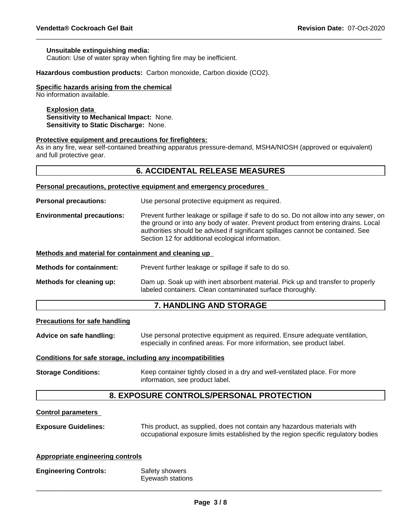#### **Unsuitable extinguishing media:**

Caution: Use of water spray when fighting fire may be inefficient.

**Hazardous combustion products:** Carbon monoxide, Carbon dioxide (CO2).

#### **Specific hazards arising from the chemical**

No information available.

#### **Explosion data**

**Sensitivity to Mechanical Impact:** None. **Sensitivity to Static Discharge:** None.

#### **Protective equipment and precautions for firefighters:**

As in any fire, wear self-contained breathing apparatus pressure-demand, MSHA/NIOSH (approved or equivalent) and full protective gear.

### **6. ACCIDENTAL RELEASE MEASURES**

**Personal precautions, protective equipment and emergency procedures**

**Personal precautions:** Use personal protective equipment as required.

**Environmental precautions:** Prevent further leakage or spillage if safe to do so. Do not allow into any sewer, on the ground or into any body of water. Prevent product from entering drains. Local authorities should be advised if significant spillages cannot be contained. See Section 12 for additional ecological information.

#### **Methods and material for containment and cleaning up**

**Methods for containment:** Prevent further leakage or spillage if safe to do so.

**Methods for cleaning up:** Dam up. Soak up with inert absorbent material. Pick up and transfer to properly labeled containers. Clean contaminated surface thoroughly.

## **7. HANDLING AND STORAGE**

#### **Precautions for safe handling**

**Advice on safe handling:** Use personal protective equipment as required.Ensure adequate ventilation, especially in confined areas. For more information, see product label.

#### **Conditions for safe storage, including any incompatibilities**

**Storage Conditions:** Keep container tightly closed in a dry and well-ventilated place. For more information, see product label.

## **8. EXPOSURE CONTROLS/PERSONAL PROTECTION**

## **Control parameters**

**Exposure Guidelines:** This product, as supplied, does not contain any hazardous materials with occupational exposure limits established by the region specific regulatory bodies

#### **Appropriate engineering controls**

| <b>Engineering Controls:</b> | Safety showers   |
|------------------------------|------------------|
|                              | Eyewash stations |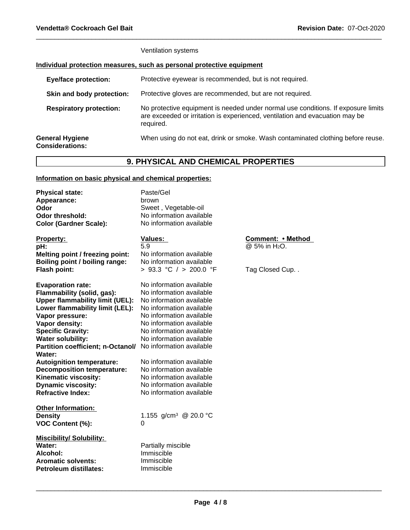| Ventilation systems |  |
|---------------------|--|
|---------------------|--|

## **Individual protection measures, such as personal protective equipment**

| Protective eyewear is recommended, but is not required.                                                                                                                        |
|--------------------------------------------------------------------------------------------------------------------------------------------------------------------------------|
| Protective gloves are recommended, but are not required.                                                                                                                       |
| No protective equipment is needed under normal use conditions. If exposure limits<br>are exceeded or irritation is experienced, ventilation and evacuation may be<br>required. |
| When using do not eat, drink or smoke. Wash contaminated clothing before reuse.                                                                                                |
|                                                                                                                                                                                |

# **9. PHYSICAL AND CHEMICAL PROPERTIES**

## **Information on basic physical and chemical properties:**

| <b>Physical state:</b><br>Appearance:<br>Odor<br>Odor threshold:<br><b>Color (Gardner Scale):</b>                                                                                                                                                                                                                                                                                                                                         | Paste/Gel<br>brown<br>Sweet, Vegetable-oil<br>No information available<br>No information available                                                                                                                                                                                                                                                                                                   |                                                                  |
|-------------------------------------------------------------------------------------------------------------------------------------------------------------------------------------------------------------------------------------------------------------------------------------------------------------------------------------------------------------------------------------------------------------------------------------------|------------------------------------------------------------------------------------------------------------------------------------------------------------------------------------------------------------------------------------------------------------------------------------------------------------------------------------------------------------------------------------------------------|------------------------------------------------------------------|
| <b>Property:</b><br>pH:<br>Melting point / freezing point:<br>Boiling point / boiling range:<br>Flash point:                                                                                                                                                                                                                                                                                                                              | <b>Values:</b><br>5.9<br>No information available<br>No information available<br>> 93.3 °C / > 200.0 °F                                                                                                                                                                                                                                                                                              | Comment: • Method<br>@ 5% in H <sub>2</sub> O.<br>Tag Closed Cup |
| <b>Evaporation rate:</b><br>Flammability (solid, gas):<br><b>Upper flammability limit (UEL):</b><br>Lower flammability limit (LEL):<br>Vapor pressure:<br>Vapor density:<br><b>Specific Gravity:</b><br><b>Water solubility:</b><br>Partition coefficient; n-Octanol/<br>Water:<br><b>Autoignition temperature:</b><br><b>Decomposition temperature:</b><br>Kinematic viscosity:<br><b>Dynamic viscosity:</b><br><b>Refractive Index:</b> | No information available<br>No information available<br>No information available<br>No information available<br>No information available<br>No information available<br>No information available<br>No information available<br>No information available<br>No information available<br>No information available<br>No information available<br>No information available<br>No information available |                                                                  |
| <b>Other Information:</b><br><b>Density</b><br>VOC Content (%):                                                                                                                                                                                                                                                                                                                                                                           | 1.155 g/cm <sup>3</sup> @ 20.0 °C<br>0                                                                                                                                                                                                                                                                                                                                                               |                                                                  |
| <b>Miscibility/ Solubility:</b><br>Water:<br>Alcohol:<br><b>Aromatic solvents:</b><br><b>Petroleum distillates:</b>                                                                                                                                                                                                                                                                                                                       | Partially miscible<br>Immiscible<br>Immiscible<br>Immiscible                                                                                                                                                                                                                                                                                                                                         |                                                                  |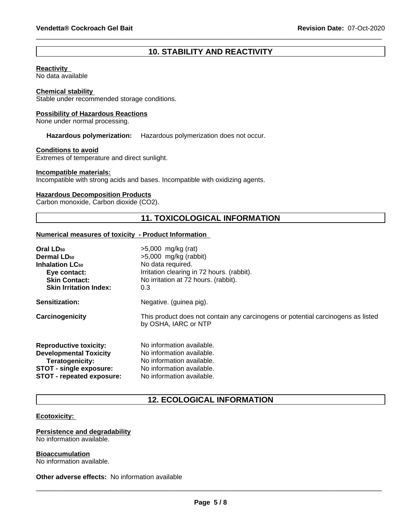## **10. STABILITY AND REACTIVITY**

#### **Reactivity**

No data available

#### **Chemical stability**

Stable under recommended storage conditions.

#### **Possibility of Hazardous Reactions**

None under normal processing.

**Hazardous polymerization:** Hazardous polymerization does not occur.

#### **Conditions to avoid**

Extremes of temperature and direct sunlight.

#### **Incompatible materials:**

Incompatible with strong acids and bases. Incompatible with oxidizing agents.

#### **Hazardous Decomposition Products**

Carbon monoxide, Carbon dioxide (CO2).

## **11. TOXICOLOGICAL INFORMATION**

#### **Numerical measures of toxicity - Product Information**

| Oral LD <sub>50</sub>         | $>5,000$ mg/kg (rat)                                                                                     |
|-------------------------------|----------------------------------------------------------------------------------------------------------|
| <b>Dermal LD<sub>50</sub></b> | $>5,000$ mg/kg (rabbit)                                                                                  |
| <b>Inhalation LC50</b>        | No data required.                                                                                        |
| Eye contact:                  | Irritation clearing in 72 hours. (rabbit).                                                               |
| <b>Skin Contact:</b>          | No irritation at 72 hours. (rabbit).                                                                     |
| <b>Skin Irritation Index:</b> | 0.3                                                                                                      |
| Sensitization:                | Negative. (guinea pig).                                                                                  |
| Carcinogenicity               | This product does not contain any carcinogens or potential carcinogens as listed<br>by OSHA, IARC or NTP |
| <b>Reproductive toxicity:</b> | No information available.                                                                                |
| <b>Developmental Toxicity</b> | No information available.                                                                                |
| Teratogenicity:               | No information available.                                                                                |
| STOT - single exposure:       | No information available.                                                                                |
| STOT - repeated exposure:     | No information available.                                                                                |

## **12. ECOLOGICAL INFORMATION**

#### **Ecotoxicity:**

#### **Persistence and degradability** No information available.

**Bioaccumulation** No information available.

**Other adverse effects:** No information available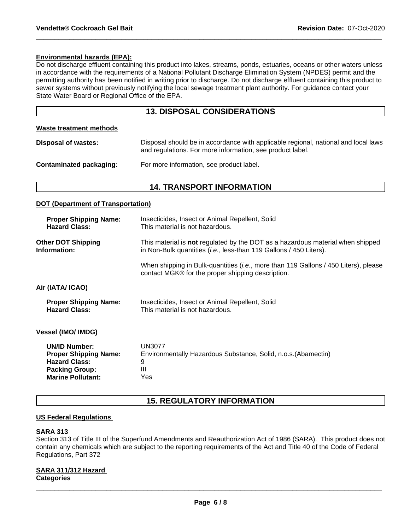#### **Environmental hazards (EPA):**

Do not discharge effluent containing this product into lakes, streams, ponds, estuaries, oceans or other waters unless in accordance with the requirements of a National Pollutant Discharge Elimination System (NPDES) permit and the permitting authority has been notified in writing prior to discharge. Do not discharge effluent containing this product to sewer systems without previously notifying the local sewage treatment plant authority. For guidance contact your State Water Board or Regional Office of the EPA.

## **13. DISPOSAL CONSIDERATIONS**

#### **Waste treatment methods**

**Disposal of wastes:** Disposal should be in accordance with applicable regional, national and local laws and regulations. For more information, see product label.

### **Contaminated packaging:** For more information, see product label.

## **14. TRANSPORT INFORMATION**

#### **DOT (Department of Transportation)**

| <b>Proper Shipping Name:</b><br><b>Hazard Class:</b> | Insecticides, Insect or Animal Repellent, Solid<br>This material is not hazardous.                                                                                   |
|------------------------------------------------------|----------------------------------------------------------------------------------------------------------------------------------------------------------------------|
| <b>Other DOT Shipping</b><br>Information:            | This material is <b>not</b> regulated by the DOT as a hazardous material when shipped<br>in Non-Bulk quantities ( <i>i.e.</i> , less-than 119 Gallons / 450 Liters). |
|                                                      | When shipping in Bulk-quantities ( <i>i.e.</i> , more than 119 Gallons / 450 Liters), please<br>contact MGK® for the proper shipping description.                    |
| Air (IATA/ ICAO)                                     |                                                                                                                                                                      |
| <b>Proper Shipping Name:</b><br><b>Hazard Class:</b> | Insecticides, Insect or Animal Repellent, Solid<br>This material is not hazardous.                                                                                   |
| <b>Vessel (IMO/ IMDG)</b>                            |                                                                                                                                                                      |
| <b>UN/ID Number:</b>                                 | UN3077                                                                                                                                                               |
| <b>Proper Shipping Name:</b>                         | Environmentally Hazardous Substance, Solid, n.o.s. (Abamectin)                                                                                                       |
| <b>Hazard Class:</b>                                 | 9                                                                                                                                                                    |
| <b>Packing Group:</b>                                | Ш                                                                                                                                                                    |
| <b>Marine Pollutant:</b>                             | Yes                                                                                                                                                                  |

## **15. REGULATORY INFORMATION**

#### **US Federal Regulations**

## **SARA 313**

Section 313 of Title III of the Superfund Amendments and Reauthorization Act of 1986 (SARA). This product does not contain any chemicals which are subject to the reporting requirements of the Act and Title 40 of the Code of Federal Regulations, Part 372

#### **SARA 311/312 Hazard Categories**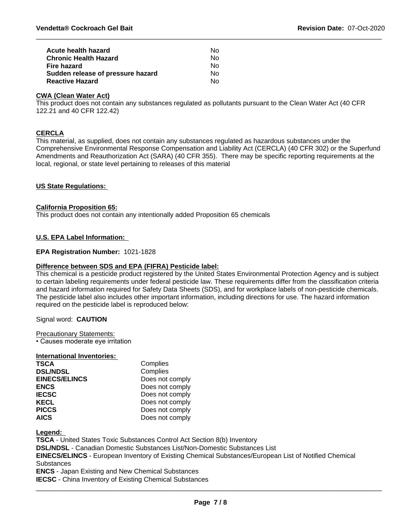| Acute health hazard               | N٥ |  |
|-----------------------------------|----|--|
| <b>Chronic Health Hazard</b>      | Nο |  |
| Fire hazard                       | Nο |  |
| Sudden release of pressure hazard | Nο |  |
| <b>Reactive Hazard</b>            | Nο |  |

## **CWA (Clean Water Act)**

This product does not contain any substances regulated as pollutants pursuant to the Clean Water Act (40 CFR 122.21 and 40 CFR 122.42)

#### **CERCLA**

This material, as supplied, does not contain any substances regulated as hazardous substances under the Comprehensive Environmental Response Compensation and Liability Act (CERCLA) (40 CFR 302) or the Superfund Amendments and Reauthorization Act (SARA) (40 CFR 355). There may be specific reporting requirements at the local, regional, or state level pertaining to releases of this material

### **US State Regulations:**

#### **California Proposition 65:**

This product does not contain any intentionally added Proposition 65 chemicals

### **U.S. EPA Label Information:**

### **EPA Registration Number:** 1021-1828

#### **Difference between SDS and EPA (FIFRA) Pesticide label:**

This chemical is a pesticide product registered by the United States Environmental Protection Agency and is subject to certain labeling requirements under federal pesticide law. These requirements differ from the classification criteria and hazard information required for Safety Data Sheets (SDS), and for workplace labels of non-pesticide chemicals. The pesticide label also includes other important information, including directions for use. The hazard information required on the pesticide label is reproduced below:

Signal word: **CAUTION**

Precautionary Statements:

• Causes moderate eye irritation

#### **International Inventories:**

| <b>TSCA</b>          | Complies        |
|----------------------|-----------------|
| <b>DSL/NDSL</b>      | Complies        |
| <b>EINECS/ELINCS</b> | Does not comply |
| <b>ENCS</b>          | Does not comply |
| <b>IECSC</b>         | Does not comply |
| <b>KECL</b>          | Does not comply |
| <b>PICCS</b>         | Does not comply |
| <b>AICS</b>          | Does not comply |

**Legend:** 

**TSCA** - United States Toxic Substances Control Act Section 8(b) Inventory

**DSL/NDSL** - Canadian Domestic Substances List/Non-Domestic Substances List

**EINECS/ELINCS** - European Inventory of Existing Chemical Substances/European List of Notified Chemical **Substances** 

**ENCS** - Japan Existing and New Chemical Substances

**IECSC** - China Inventory of Existing Chemical Substances